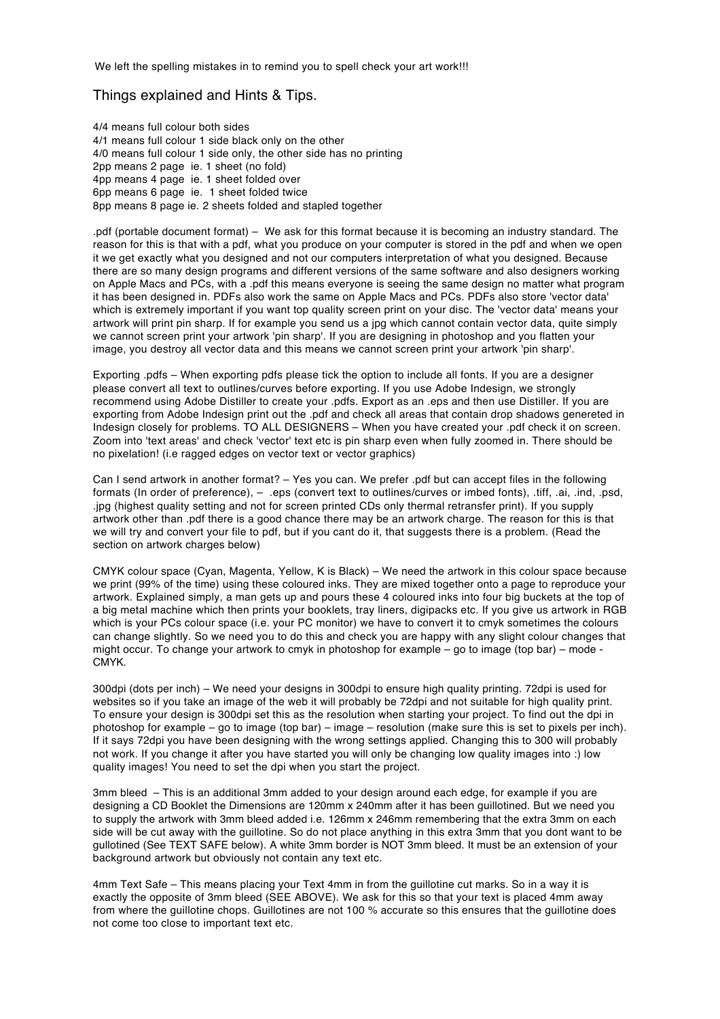We left the spelling mistakes in to remind you to spell check your art work!!!

## Things explained and Hints & Tips.

4/4 means full colour both sides 4/1 means full colour 1 side black only on the other 4/0 means full colour 1 side only, the other side has no printing 2pp means 2 page ie. 1 sheet (no fold) 4pp means 4 page ie. 1 sheet folded over 6pp means 6 page ie. 1 sheet folded twice 8pp means 8 page ie. 2 sheets folded and stapled together

.pdf (portable document format) – We ask for this format because it is becoming an industry standard. The reason for this is that with a pdf, what you produce on your computer is stored in the pdf and when we open it we get exactly what you designed and not our computers interpretation of what you designed. Because there are so many design programs and different versions of the same software and also designers working on Apple Macs and PCs, with a .pdf this means everyone is seeing the same design no matter what program it has been designed in. PDFs also work the same on Apple Macs and PCs. PDFs also store 'vector data' which is extremely important if you want top quality screen print on your disc. The 'vector data' means your artwork will print pin sharp. If for example you send us a jpg which cannot contain vector data, quite simply we cannot screen print your artwork 'pin sharp'. If you are designing in photoshop and you flatten your image, you destroy all vector data and this means we cannot screen print your artwork 'pin sharp'.

Exporting .pdfs – When exporting pdfs please tick the option to include all fonts. If you are a designer please convert all text to outlines/curves before exporting. If you use Adobe Indesign, we strongly recommend using Adobe Distiller to create your .pdfs. Export as an .eps and then use Distiller. If you are exporting from Adobe Indesign print out the .pdf and check all areas that contain drop shadows genereted in Indesign closely for problems. TO ALL DESIGNERS – When you have created your .pdf check it on screen. Zoom into 'text areas' and check 'vector' text etc is pin sharp even when fully zoomed in. There should be no pixelation! (i.e ragged edges on vector text or vector graphics)

Can I send artwork in another format? – Yes you can. We prefer .pdf but can accept files in the following formats (In order of preference), – .eps (convert text to outlines/curves or imbed fonts), .tiff, .ai, .ind, .psd, .jpg (highest quality setting and not for screen printed CDs only thermal retransfer print). If you supply artwork other than .pdf there is a good chance there may be an artwork charge. The reason for this is that we will try and convert your file to pdf, but if you cant do it, that suggests there is a problem. (Read the section on artwork charges below)

CMYK colour space (Cyan, Magenta, Yellow, K is Black) – We need the artwork in this colour space because we print (99% of the time) using these coloured inks. They are mixed together onto a page to reproduce your artwork. Explained simply, a man gets up and pours these 4 coloured inks into four big buckets at the top of a big metal machine which then prints your booklets, tray liners, digipacks etc. If you give us artwork in RGB which is your PCs colour space (i.e. your PC monitor) we have to convert it to cmyk sometimes the colours can change slightly. So we need you to do this and check you are happy with any slight colour changes that might occur. To change your artwork to cmyk in photoshop for example – go to image (top bar) – mode - CMYK.

300dpi (dots per inch) – We need your designs in 300dpi to ensure high quality printing. 72dpi is used for websites so if you take an image of the web it will probably be 72dpi and not suitable for high quality print. To ensure your design is 300dpi set this as the resolution when starting your project. To find out the dpi in photoshop for example – go to image (top bar) – image – resolution (make sure this is set to pixels per inch). If it says 72dpi you have been designing with the wrong settings applied. Changing this to 300 will probably not work. If you change it after you have started you will only be changing low quality images into :) low quality images! You need to set the dpi when you start the project.

3mm bleed – This is an additional 3mm added to your design around each edge, for example if you are designing a CD Booklet the Dimensions are 120mm x 240mm after it has been guillotined. But we need you to supply the artwork with 3mm bleed added i.e. 126mm x 246mm remembering that the extra 3mm on each side will be cut away with the guillotine. So do not place anything in this extra 3mm that you dont want to be gullotined (See TEXT SAFE below). A white 3mm border is NOT 3mm bleed. It must be an extension of your background artwork but obviously not contain any text etc.

4mm Text Safe – This means placing your Text 4mm in from the guillotine cut marks. So in a way it is exactly the opposite of 3mm bleed (SEE ABOVE). We ask for this so that your text is placed 4mm away from where the guillotine chops. Guillotines are not 100 % accurate so this ensures that the guillotine does not come too close to important text etc.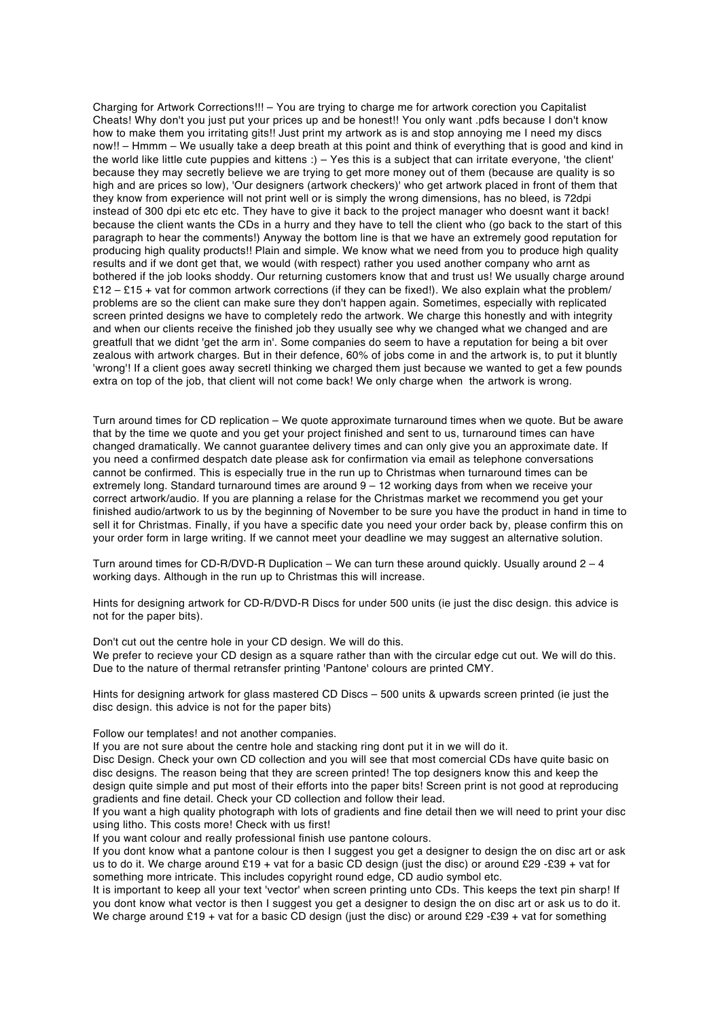Charging for Artwork Corrections!!! – You are trying to charge me for artwork corection you Capitalist Cheats! Why don't you just put your prices up and be honest!! You only want .pdfs because I don't know how to make them you irritating gits!! Just print my artwork as is and stop annoying me I need my discs now!! – Hmmm – We usually take a deep breath at this point and think of everything that is good and kind in the world like little cute puppies and kittens :) – Yes this is a subject that can irritate everyone, 'the client' because they may secretly believe we are trying to get more money out of them (because are quality is so high and are prices so low), 'Our designers (artwork checkers)' who get artwork placed in front of them that they know from experience will not print well or is simply the wrong dimensions, has no bleed, is 72dpi instead of 300 dpi etc etc etc. They have to give it back to the project manager who doesnt want it back! because the client wants the CDs in a hurry and they have to tell the client who (go back to the start of this paragraph to hear the comments!) Anyway the bottom line is that we have an extremely good reputation for producing high quality products!! Plain and simple. We know what we need from you to produce high quality results and if we dont get that, we would (with respect) rather you used another company who arnt as bothered if the job looks shoddy. Our returning customers know that and trust us! We usually charge around £12 – £15 + vat for common artwork corrections (if they can be fixed!). We also explain what the problem/ problems are so the client can make sure they don't happen again. Sometimes, especially with replicated screen printed designs we have to completely redo the artwork. We charge this honestly and with integrity and when our clients receive the finished job they usually see why we changed what we changed and are greatfull that we didnt 'get the arm in'. Some companies do seem to have a reputation for being a bit over zealous with artwork charges. But in their defence, 60% of jobs come in and the artwork is, to put it bluntly 'wrong'! If a client goes away secretl thinking we charged them just because we wanted to get a few pounds extra on top of the job, that client will not come back! We only charge when the artwork is wrong.

Turn around times for CD replication – We quote approximate turnaround times when we quote. But be aware that by the time we quote and you get your project finished and sent to us, turnaround times can have changed dramatically. We cannot guarantee delivery times and can only give you an approximate date. If you need a confirmed despatch date please ask for confirmation via email as telephone conversations cannot be confirmed. This is especially true in the run up to Christmas when turnaround times can be extremely long. Standard turnaround times are around 9 – 12 working days from when we receive your correct artwork/audio. If you are planning a relase for the Christmas market we recommend you get your finished audio/artwork to us by the beginning of November to be sure you have the product in hand in time to sell it for Christmas. Finally, if you have a specific date you need your order back by, please confirm this on your order form in large writing. If we cannot meet your deadline we may suggest an alternative solution.

Turn around times for CD-R/DVD-R Duplication – We can turn these around quickly. Usually around  $2 - 4$ working days. Although in the run up to Christmas this will increase.

Hints for designing artwork for CD-R/DVD-R Discs for under 500 units (ie just the disc design. this advice is not for the paper bits).

Don't cut out the centre hole in your CD design. We will do this. We prefer to recieve your CD design as a square rather than with the circular edge cut out. We will do this. Due to the nature of thermal retransfer printing 'Pantone' colours are printed CMY.

Hints for designing artwork for glass mastered CD Discs – 500 units & upwards screen printed (ie just the disc design. this advice is not for the paper bits)

## Follow our templates! and not another companies.

If you are not sure about the centre hole and stacking ring dont put it in we will do it.

Disc Design. Check your own CD collection and you will see that most comercial CDs have quite basic on disc designs. The reason being that they are screen printed! The top designers know this and keep the design quite simple and put most of their efforts into the paper bits! Screen print is not good at reproducing gradients and fine detail. Check your CD collection and follow their lead.

If you want a high quality photograph with lots of gradients and fine detail then we will need to print your disc using litho. This costs more! Check with us first!

If you want colour and really professional finish use pantone colours.

If you dont know what a pantone colour is then I suggest you get a designer to design the on disc art or ask us to do it. We charge around £19 + vat for a basic CD design (just the disc) or around £29 -£39 + vat for something more intricate. This includes copyright round edge, CD audio symbol etc.

It is important to keep all your text 'vector' when screen printing unto CDs. This keeps the text pin sharp! If you dont know what vector is then I suggest you get a designer to design the on disc art or ask us to do it. We charge around £19 + vat for a basic CD design (just the disc) or around £29 -£39 + vat for something